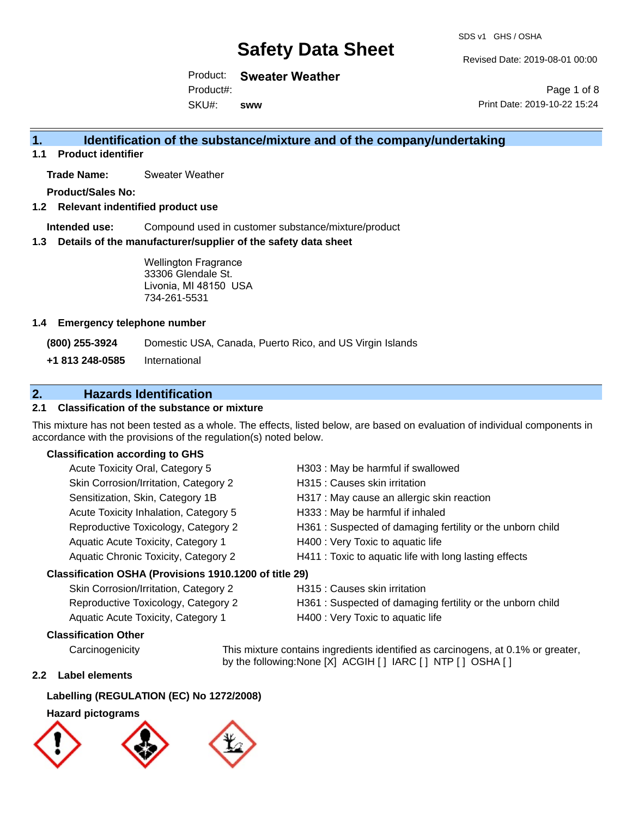Revised Date: 2019-08-01 00:00

Page 1 of 8

Product: **Sweater Weather**

Product#:

SKU#: **sww** Print Date: 2019-10-22 15:24

## **1. Identification of the substance/mixture and of the company/undertaking**

**1.1 Product identifier**

**Trade Name:** Sweater Weather

**Product/Sales No:**

## **1.2 Relevant indentified product use**

**Intended use:** Compound used in customer substance/mixture/product

## **1.3 Details of the manufacturer/supplier of the safety data sheet**

Wellington Fragrance 33306 Glendale St. Livonia, MI 48150 USA 734-261-5531

## **1.4 Emergency telephone number**

**(800) 255-3924** Domestic USA, Canada, Puerto Rico, and US Virgin Islands

**+1 813 248-0585** International

## **2. Hazards Identification**

## **2.1 Classification of the substance or mixture**

This mixture has not been tested as a whole. The effects, listed below, are based on evaluation of individual components in accordance with the provisions of the regulation(s) noted below.

## **Classification according to GHS**

| Acute Toxicity Oral, Category 5                        | H303 : May be harmful if swallowed                         |
|--------------------------------------------------------|------------------------------------------------------------|
| Skin Corrosion/Irritation, Category 2                  | H315 : Causes skin irritation                              |
| Sensitization, Skin, Category 1B                       | H317 : May cause an allergic skin reaction                 |
| Acute Toxicity Inhalation, Category 5                  | H333: May be harmful if inhaled                            |
| Reproductive Toxicology, Category 2                    | H361 : Suspected of damaging fertility or the unborn child |
| Aquatic Acute Toxicity, Category 1                     | H400 : Very Toxic to aquatic life                          |
| Aquatic Chronic Toxicity, Category 2                   | H411 : Toxic to aquatic life with long lasting effects     |
| Classification OSHA (Provisions 1910.1200 of title 29) |                                                            |

## Skin Corrosion/Irritation, Category 2 H315 : Causes skin irritation Reproductive Toxicology, Category 2 H361 : Suspected of damaging fertility or the unborn child Aquatic Acute Toxicity, Category 1 H400 : Very Toxic to aquatic life

## **Classification Other**

Carcinogenicity This mixture contains ingredients identified as carcinogens, at 0.1% or greater, by the following:None [X] ACGIH [ ] IARC [ ] NTP [ ] OSHA [ ]

## **2.2 Label elements**

## **Labelling (REGULATION (EC) No 1272/2008)**

## **Hazard pictograms**

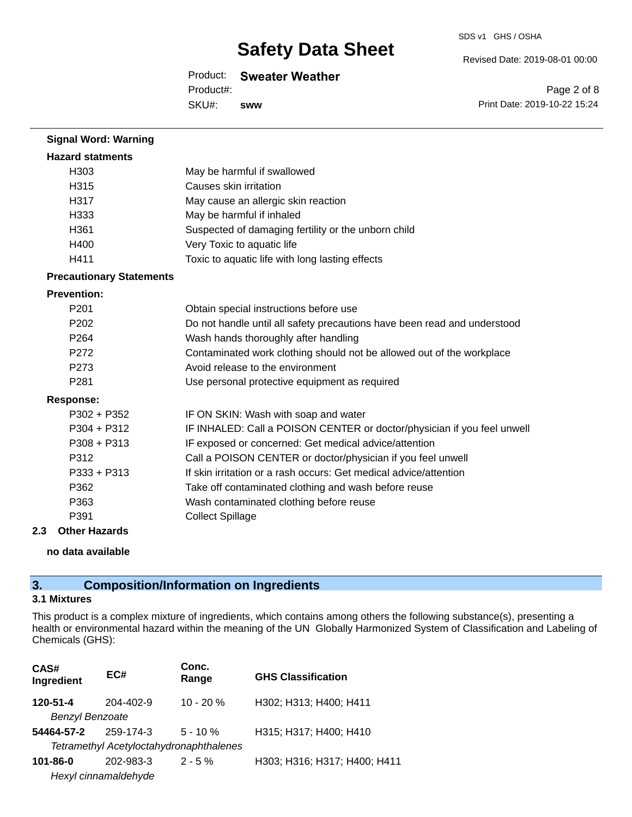#### SDS v1 GHS / OSHA

Revised Date: 2019-08-01 00:00

## Product: **Sweater Weather**

SKU#: Product#: **sww**

Page 2 of 8 Print Date: 2019-10-22 15:24

| <b>Signal Word: Warning</b>     |                                                                          |
|---------------------------------|--------------------------------------------------------------------------|
| <b>Hazard statments</b>         |                                                                          |
| H303                            | May be harmful if swallowed                                              |
| H315                            | Causes skin irritation                                                   |
| H317                            | May cause an allergic skin reaction                                      |
| H333                            | May be harmful if inhaled                                                |
| H361                            | Suspected of damaging fertility or the unborn child                      |
| H400                            | Very Toxic to aquatic life                                               |
| H411                            | Toxic to aquatic life with long lasting effects                          |
| <b>Precautionary Statements</b> |                                                                          |
| <b>Prevention:</b>              |                                                                          |
| P <sub>201</sub>                | Obtain special instructions before use                                   |
| P <sub>202</sub>                | Do not handle until all safety precautions have been read and understood |
| P <sub>264</sub>                | Wash hands thoroughly after handling                                     |
| P272                            | Contaminated work clothing should not be allowed out of the workplace    |
| P273                            | Avoid release to the environment                                         |
| P281                            | Use personal protective equipment as required                            |
| <b>Response:</b>                |                                                                          |
| $P302 + P352$                   | IF ON SKIN: Wash with soap and water                                     |
| $P304 + P312$                   | IF INHALED: Call a POISON CENTER or doctor/physician if you feel unwell  |
| $P308 + P313$                   | IF exposed or concerned: Get medical advice/attention                    |
| P312                            | Call a POISON CENTER or doctor/physician if you feel unwell              |
| $P333 + P313$                   | If skin irritation or a rash occurs: Get medical advice/attention        |
| P362                            | Take off contaminated clothing and wash before reuse                     |
| P363                            | Wash contaminated clothing before reuse                                  |
| P391                            | <b>Collect Spillage</b>                                                  |
| بمالة ممطا                      |                                                                          |

## **2.3 Other Hazards**

#### **no data available**

## **3. Composition/Information on Ingredients**

## **3.1 Mixtures**

This product is a complex mixture of ingredients, which contains among others the following substance(s), presenting a health or environmental hazard within the meaning of the UN Globally Harmonized System of Classification and Labeling of Chemicals (GHS):

| CAS#<br>Ingredient     | EC#                                     | Conc.<br>Range | <b>GHS Classification</b>    |
|------------------------|-----------------------------------------|----------------|------------------------------|
| 120-51-4               | 204-402-9                               | $10 - 20%$     | H302; H313; H400; H411       |
| <b>Benzyl Benzoate</b> |                                         |                |                              |
| 54464-57-2             | 259-174-3                               | $5 - 10 \%$    | H315; H317; H400; H410       |
|                        | Tetramethyl Acetyloctahydronaphthalenes |                |                              |
| $101 - 86 - 0$         | 202-983-3                               | $2 - 5\%$      | H303; H316; H317; H400; H411 |
|                        | Hexyl cinnamaldehyde                    |                |                              |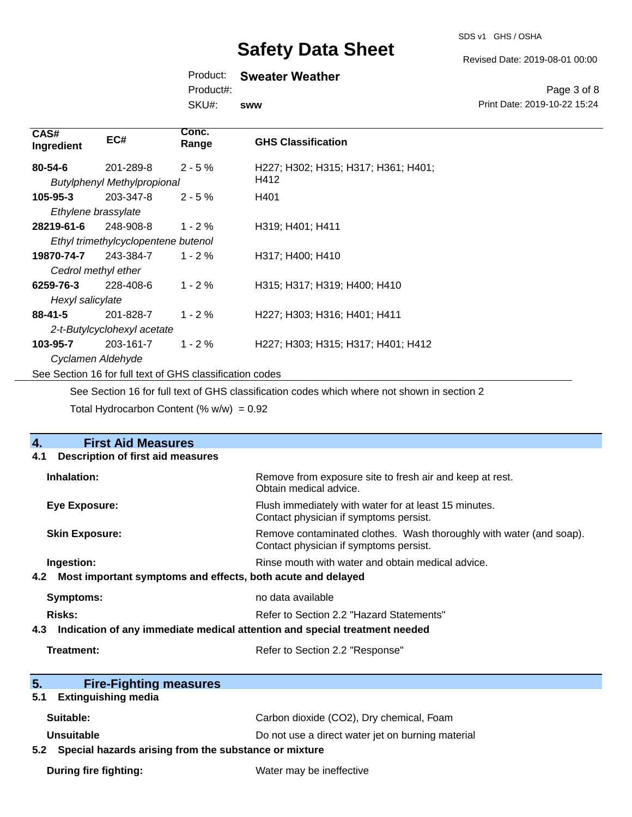Revised Date: 2019-08-01 00:00

## Product: **Sweater Weather**

Product#:

SKU#: **sww**

Page 3 of 8 Print Date: 2019-10-22 15:24

| CAS#<br>Ingredient  | EC#                                                      | Conc.<br>Range | <b>GHS Classification</b>           |
|---------------------|----------------------------------------------------------|----------------|-------------------------------------|
| 80-54-6             | 201-289-8                                                | $2 - 5%$       | H227; H302; H315; H317; H361; H401; |
|                     | <b>Butylphenyl Methylpropional</b>                       |                | H412                                |
| $105 - 95 - 3$      | 203-347-8                                                | $2 - 5%$       | H401                                |
| Ethylene brassylate |                                                          |                |                                     |
| 28219-61-6          | 248-908-8                                                | $1 - 2 \%$     | H319; H401; H411                    |
|                     | Ethyl trimethylcyclopentene butenol                      |                |                                     |
| 19870-74-7          | 243-384-7                                                | $1 - 2%$       | H317; H400; H410                    |
| Cedrol methyl ether |                                                          |                |                                     |
| 6259-76-3           | 228-408-6                                                | $1 - 2%$       | H315; H317; H319; H400; H410        |
| Hexyl salicylate    |                                                          |                |                                     |
| $88 - 41 - 5$       | 201-828-7                                                | $1 - 2%$       | H227; H303; H316; H401; H411        |
|                     | 2-t-Butylcyclohexyl acetate                              |                |                                     |
| 103-95-7            | 203-161-7                                                | $1 - 2%$       | H227; H303; H315; H317; H401; H412  |
| Cyclamen Aldehyde   |                                                          |                |                                     |
|                     | See Section 16 for full text of GHS classification codes |                |                                     |

See Section 16 for full text of GHS classification codes which where not shown in section 2

Total Hydrocarbon Content (%  $w/w$ ) = 0.92

| <b>First Aid Measures</b><br>4.                                                   |                                                                                                               |
|-----------------------------------------------------------------------------------|---------------------------------------------------------------------------------------------------------------|
| Description of first aid measures<br>4.1                                          |                                                                                                               |
| Inhalation:                                                                       | Remove from exposure site to fresh air and keep at rest.<br>Obtain medical advice.                            |
| <b>Eye Exposure:</b>                                                              | Flush immediately with water for at least 15 minutes.<br>Contact physician if symptoms persist.               |
| <b>Skin Exposure:</b>                                                             | Remove contaminated clothes. Wash thoroughly with water (and soap).<br>Contact physician if symptoms persist. |
| Ingestion:                                                                        | Rinse mouth with water and obtain medical advice.                                                             |
| Most important symptoms and effects, both acute and delayed<br>4.2                |                                                                                                               |
| <b>Symptoms:</b>                                                                  | no data available                                                                                             |
| <b>Risks:</b>                                                                     | Refer to Section 2.2 "Hazard Statements"                                                                      |
| Indication of any immediate medical attention and special treatment needed<br>4.3 |                                                                                                               |
| Treatment:                                                                        | Refer to Section 2.2 "Response"                                                                               |
|                                                                                   |                                                                                                               |
| 5.<br><b>Fire-Fighting measures</b>                                               |                                                                                                               |
| <b>Extinguishing media</b><br>5.1                                                 |                                                                                                               |
| Suitable:                                                                         | Carbon dioxide (CO2), Dry chemical, Foam                                                                      |
| <b>Unsuitable</b>                                                                 | Do not use a direct water jet on burning material                                                             |
| 5.2 Special hazards arising from the substance or mixture                         |                                                                                                               |
| During fire fighting:                                                             | Water may be ineffective                                                                                      |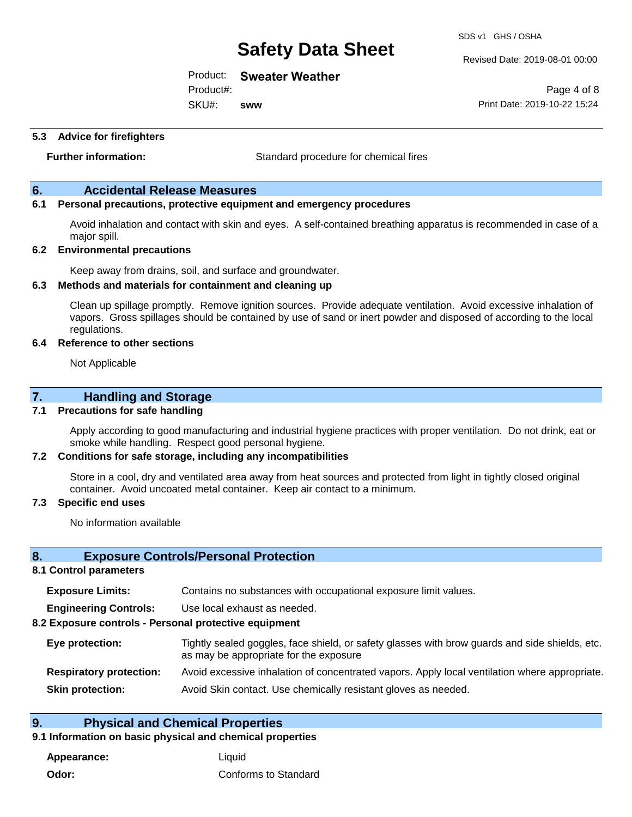Product: **Sweater Weather**

SKU#: Product#: **sww**

SDS v1 GHS / OSHA

Revised Date: 2019-08-01 00:00

Page 4 of 8 Print Date: 2019-10-22 15:24

**5.3 Advice for firefighters**

**Further information:** Standard procedure for chemical fires

## **6. Accidental Release Measures**

## **6.1 Personal precautions, protective equipment and emergency procedures**

Avoid inhalation and contact with skin and eyes. A self-contained breathing apparatus is recommended in case of a major spill.

#### **6.2 Environmental precautions**

Keep away from drains, soil, and surface and groundwater.

#### **6.3 Methods and materials for containment and cleaning up**

Clean up spillage promptly. Remove ignition sources. Provide adequate ventilation. Avoid excessive inhalation of vapors. Gross spillages should be contained by use of sand or inert powder and disposed of according to the local regulations.

#### **6.4 Reference to other sections**

Not Applicable

## **7. Handling and Storage**

### **7.1 Precautions for safe handling**

Apply according to good manufacturing and industrial hygiene practices with proper ventilation. Do not drink, eat or smoke while handling. Respect good personal hygiene.

#### **7.2 Conditions for safe storage, including any incompatibilities**

Store in a cool, dry and ventilated area away from heat sources and protected from light in tightly closed original container. Avoid uncoated metal container. Keep air contact to a minimum.

#### **7.3 Specific end uses**

No information available

#### **8. Exposure Controls/Personal Protection**

## **8.1 Control parameters**

| <b>Exposure Limits:</b> |  |  | Contains no substances with occupational exposure limit values. |
|-------------------------|--|--|-----------------------------------------------------------------|
|-------------------------|--|--|-----------------------------------------------------------------|

**Engineering Controls:** Use local exhaust as needed.

#### **8.2 Exposure controls - Personal protective equipment**

| Eye protection:                | Tightly sealed goggles, face shield, or safety glasses with brow guards and side shields, etc.<br>as may be appropriate for the exposure |
|--------------------------------|------------------------------------------------------------------------------------------------------------------------------------------|
| <b>Respiratory protection:</b> | Avoid excessive inhalation of concentrated vapors. Apply local ventilation where appropriate.                                            |
| <b>Skin protection:</b>        | Avoid Skin contact. Use chemically resistant gloves as needed.                                                                           |

## **9. Physical and Chemical Properties**

## **9.1 Information on basic physical and chemical properties**

**Appearance:** Liquid **Odor:** Conforms to Standard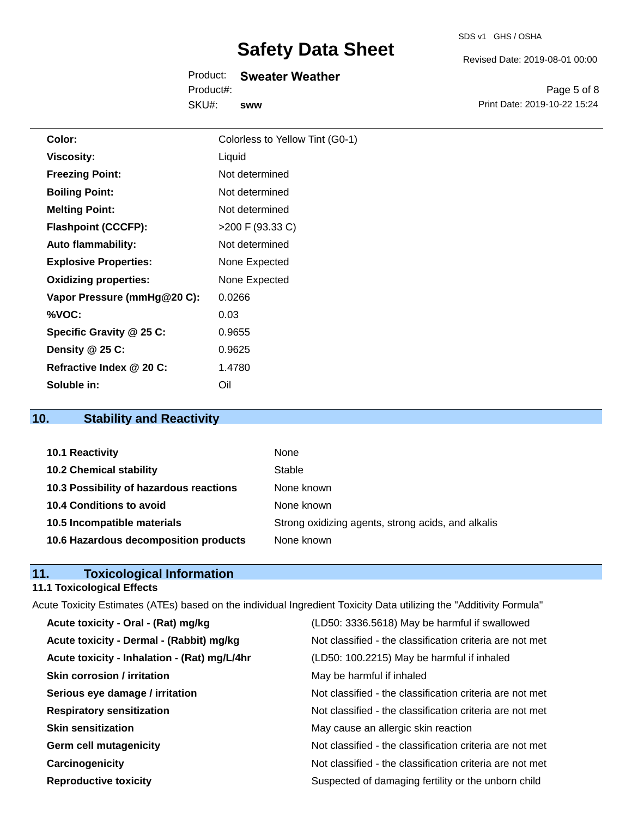|  | SDS v1 | GHS / OSHA |
|--|--------|------------|
|--|--------|------------|

Revised Date: 2019-08-01 00:00

Product: **Sweater Weather** SKU#: Product#: **sww**

Page 5 of 8 Print Date: 2019-10-22 15:24

| Color:                       | Colorless to Yellow Tint (G0-1) |
|------------------------------|---------------------------------|
| <b>Viscosity:</b>            | Liquid                          |
| <b>Freezing Point:</b>       | Not determined                  |
| <b>Boiling Point:</b>        | Not determined                  |
| <b>Melting Point:</b>        | Not determined                  |
| <b>Flashpoint (CCCFP):</b>   | $>200$ F (93.33 C)              |
| <b>Auto flammability:</b>    | Not determined                  |
| <b>Explosive Properties:</b> | None Expected                   |
| <b>Oxidizing properties:</b> | None Expected                   |
| Vapor Pressure (mmHg@20 C):  | 0.0266                          |
| %VOC:                        | 0.03                            |
| Specific Gravity @ 25 C:     | 0.9655                          |
| Density @ 25 C:              | 0.9625                          |
| Refractive Index @ 20 C:     | 1.4780                          |
| Soluble in:                  | Oil                             |

# **10. Stability and Reactivity**

| 10.1 Reactivity                         | None                                               |
|-----------------------------------------|----------------------------------------------------|
| <b>10.2 Chemical stability</b>          | Stable                                             |
| 10.3 Possibility of hazardous reactions | None known                                         |
| <b>10.4 Conditions to avoid</b>         | None known                                         |
| 10.5 Incompatible materials             | Strong oxidizing agents, strong acids, and alkalis |
| 10.6 Hazardous decomposition products   | None known                                         |

# **11. Toxicological Information**

# **11.1 Toxicological Effects**

| Acute Toxicity Estimates (ATEs) based on the individual Ingredient Toxicity Data utilizing the "Additivity Formula" |                                                          |
|---------------------------------------------------------------------------------------------------------------------|----------------------------------------------------------|
| Acute toxicity - Oral - (Rat) mg/kg                                                                                 | (LD50: 3336.5618) May be harmful if swallowed            |
| Acute toxicity - Dermal - (Rabbit) mg/kg                                                                            | Not classified - the classification criteria are not met |
| Acute toxicity - Inhalation - (Rat) mg/L/4hr                                                                        | (LD50: 100.2215) May be harmful if inhaled               |
| <b>Skin corrosion / irritation</b>                                                                                  | May be harmful if inhaled                                |
| Serious eye damage / irritation                                                                                     | Not classified - the classification criteria are not met |
| <b>Respiratory sensitization</b>                                                                                    | Not classified - the classification criteria are not met |
| <b>Skin sensitization</b>                                                                                           | May cause an allergic skin reaction                      |
| <b>Germ cell mutagenicity</b>                                                                                       | Not classified - the classification criteria are not met |
| Carcinogenicity                                                                                                     | Not classified - the classification criteria are not met |
| <b>Reproductive toxicity</b>                                                                                        | Suspected of damaging fertility or the unborn child      |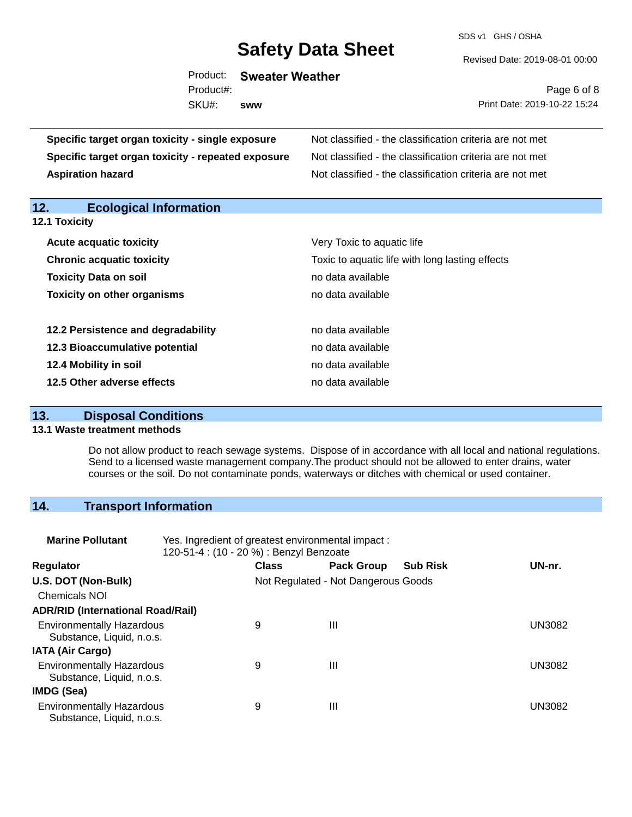SDS v1 GHS / OSHA

Revised Date: 2019-08-01 00:00

|           | Product: Sweater Weather |
|-----------|--------------------------|
| Product#: |                          |
| SKU#: sww |                          |

Page 6 of 8 Print Date: 2019-10-22 15:24

| Specific target organ toxicity - single exposure      | Not classified - the classification criteria are not met |  |
|-------------------------------------------------------|----------------------------------------------------------|--|
| Specific target organ toxicity - repeated exposure    | Not classified - the classification criteria are not met |  |
| <b>Aspiration hazard</b>                              | Not classified - the classification criteria are not met |  |
|                                                       |                                                          |  |
| 12.<br><b>Ecological Information</b><br>12.1 Toxicity |                                                          |  |
| <b>Acute acquatic toxicity</b>                        | Very Toxic to aquatic life                               |  |
| <b>Chronic acquatic toxicity</b>                      | Toxic to aquatic life with long lasting effects          |  |
| Toxicity Data on soil                                 | no data available                                        |  |
| <b>Toxicity on other organisms</b>                    | no data available                                        |  |
| 12.2 Persistence and degradability                    | no data available                                        |  |
| 12.3 Bioaccumulative potential                        | no data available                                        |  |
| 12.4 Mobility in soil                                 | no data available                                        |  |
| 12.5 Other adverse effects                            | no data available                                        |  |

## **13. Disposal Conditions**

#### **13.1 Waste treatment methods**

Do not allow product to reach sewage systems. Dispose of in accordance with all local and national regulations. Send to a licensed waste management company.The product should not be allowed to enter drains, water courses or the soil. Do not contaminate ponds, waterways or ditches with chemical or used container.

## **14. Transport Information**

| <b>Marine Pollutant</b>                                       | Yes. Ingredient of greatest environmental impact:<br>120-51-4 : (10 - 20 %) : Benzyl Benzoate |              |                                     |                 |               |  |
|---------------------------------------------------------------|-----------------------------------------------------------------------------------------------|--------------|-------------------------------------|-----------------|---------------|--|
| <b>Regulator</b>                                              |                                                                                               | <b>Class</b> | <b>Pack Group</b>                   | <b>Sub Risk</b> | UN-nr.        |  |
| U.S. DOT (Non-Bulk)                                           |                                                                                               |              | Not Regulated - Not Dangerous Goods |                 |               |  |
| <b>Chemicals NOI</b>                                          |                                                                                               |              |                                     |                 |               |  |
| <b>ADR/RID (International Road/Rail)</b>                      |                                                                                               |              |                                     |                 |               |  |
| <b>Environmentally Hazardous</b><br>Substance, Liquid, n.o.s. |                                                                                               | 9            | Ш                                   |                 | UN3082        |  |
| <b>IATA (Air Cargo)</b>                                       |                                                                                               |              |                                     |                 |               |  |
| <b>Environmentally Hazardous</b><br>Substance, Liquid, n.o.s. |                                                                                               | 9            | Ш                                   |                 | <b>UN3082</b> |  |
| IMDG (Sea)                                                    |                                                                                               |              |                                     |                 |               |  |
| <b>Environmentally Hazardous</b><br>Substance, Liquid, n.o.s. |                                                                                               | 9            | $\mathbf{III}$                      |                 | UN3082        |  |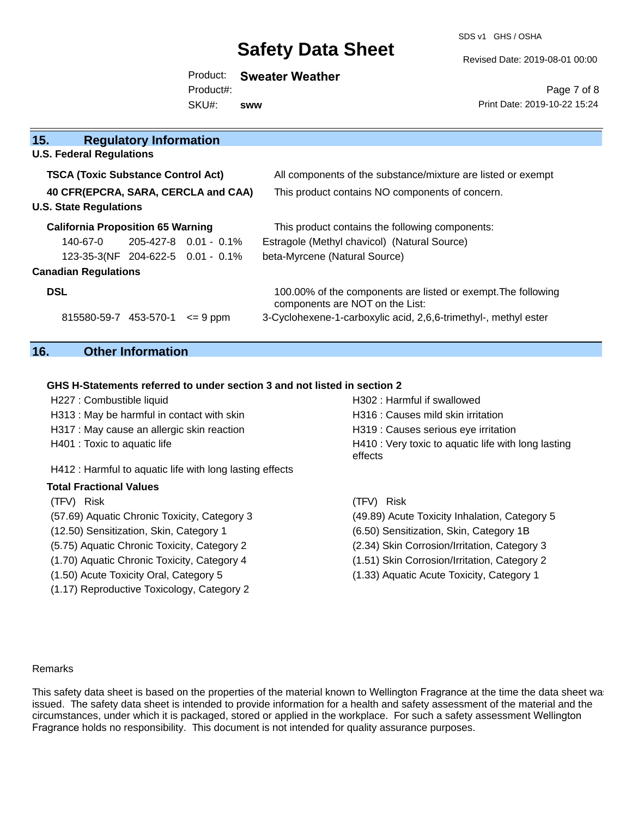SDS v1 GHS / OSHA

Revised Date: 2019-08-01 00:00

## Product: **Sweater Weather** Product#:

SKU#: **sww**

Page 7 of 8 Print Date: 2019-10-22 15:24

| <b>TSCA (Toxic Substance Control Act)</b> |            |                                                                                                                          | All components of the substance/mixture are listed or exempt                                                   |  |
|-------------------------------------------|------------|--------------------------------------------------------------------------------------------------------------------------|----------------------------------------------------------------------------------------------------------------|--|
| 40 CFR(EPCRA, SARA, CERCLA and CAA)       |            |                                                                                                                          | This product contains NO components of concern.                                                                |  |
|                                           |            |                                                                                                                          |                                                                                                                |  |
|                                           |            |                                                                                                                          | This product contains the following components:                                                                |  |
| 140-67-0                                  |            |                                                                                                                          | Estragole (Methyl chavicol) (Natural Source)                                                                   |  |
|                                           |            |                                                                                                                          | beta-Myrcene (Natural Source)                                                                                  |  |
|                                           |            |                                                                                                                          |                                                                                                                |  |
|                                           |            |                                                                                                                          | 100.00% of the components are listed or exempt. The following<br>components are NOT on the List:               |  |
|                                           |            | $\leq$ 9 ppm                                                                                                             | 3-Cyclohexene-1-carboxylic acid, 2,6,6-trimethyl-, methyl ester                                                |  |
|                                           | <b>DSL</b> | <b>U.S. Federal Regulations</b><br><b>U.S. State Regulations</b><br><b>Canadian Regulations</b><br>815580-59-7 453-570-1 | <b>Regulatory Information</b><br><b>California Proposition 65 Warning</b><br>123-35-3(NF 204-622-5 0.01 - 0.1% |  |

## **16. Other Information**

## **GHS H-Statements referred to under section 3 and not listed in section 2**

| H227 : Combustible liquid                                | H302 : Harmful if swallowed                                    |
|----------------------------------------------------------|----------------------------------------------------------------|
| H313 : May be harmful in contact with skin               | H316 : Causes mild skin irritation                             |
| H317 : May cause an allergic skin reaction               | H319 : Causes serious eye irritation                           |
| H401 : Toxic to aquatic life                             | H410 : Very toxic to aquatic life with long lasting<br>effects |
| H412 : Harmful to aquatic life with long lasting effects |                                                                |
| <b>Total Fractional Values</b>                           |                                                                |
| (TFV) Risk                                               | (TFV) Risk                                                     |
| (57.69) Aquatic Chronic Toxicity, Category 3             | (49.89) Acute Toxicity Inhalation, Category 5                  |
| (12.50) Sensitization, Skin, Category 1                  | (6.50) Sensitization, Skin, Category 1B                        |
| (5.75) Aquatic Chronic Toxicity, Category 2              | (2.34) Skin Corrosion/Irritation, Category 3                   |
| (1.70) Aquatic Chronic Toxicity, Category 4              | (1.51) Skin Corrosion/Irritation, Category 2                   |
| (1.50) Acute Toxicity Oral, Category 5                   | (1.33) Aquatic Acute Toxicity, Category 1                      |
| (1.17) Reproductive Toxicology, Category 2               |                                                                |

#### Remarks

This safety data sheet is based on the properties of the material known to Wellington Fragrance at the time the data sheet was issued. The safety data sheet is intended to provide information for a health and safety assessment of the material and the circumstances, under which it is packaged, stored or applied in the workplace. For such a safety assessment Wellington Fragrance holds no responsibility. This document is not intended for quality assurance purposes.